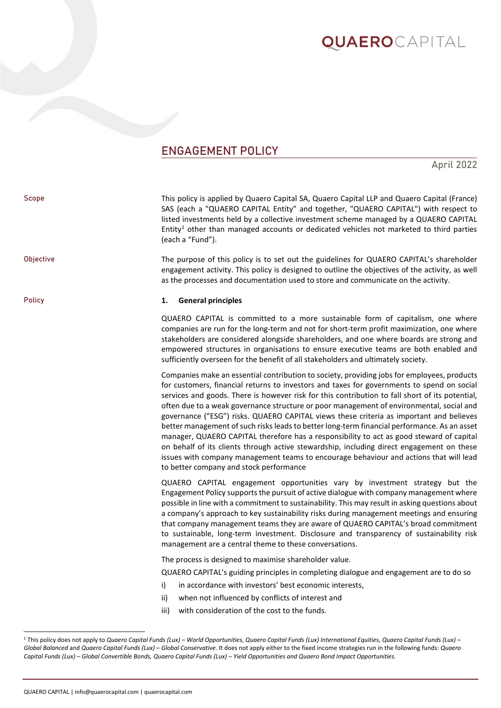## **QUAERO**CAPITAL

### ENGAGEMENT POLICY

April 2022

| Scope            | This policy is applied by Quaero Capital SA, Quaero Capital LLP and Quaero Capital (France)<br>SAS (each a "QUAERO CAPITAL Entity" and together, "QUAERO CAPITAL") with respect to<br>listed investments held by a collective investment scheme managed by a QUAERO CAPITAL<br>Entity <sup>1</sup> other than managed accounts or dedicated vehicles not marketed to third parties<br>(each a "Fund").                                                                                                                                                                                                                                                                                                                                                                                                                                                                                                            |
|------------------|-------------------------------------------------------------------------------------------------------------------------------------------------------------------------------------------------------------------------------------------------------------------------------------------------------------------------------------------------------------------------------------------------------------------------------------------------------------------------------------------------------------------------------------------------------------------------------------------------------------------------------------------------------------------------------------------------------------------------------------------------------------------------------------------------------------------------------------------------------------------------------------------------------------------|
| <b>Objective</b> | The purpose of this policy is to set out the guidelines for QUAERO CAPITAL's shareholder<br>engagement activity. This policy is designed to outline the objectives of the activity, as well<br>as the processes and documentation used to store and communicate on the activity.                                                                                                                                                                                                                                                                                                                                                                                                                                                                                                                                                                                                                                  |
| Policy           | <b>General principles</b><br>1.                                                                                                                                                                                                                                                                                                                                                                                                                                                                                                                                                                                                                                                                                                                                                                                                                                                                                   |
|                  | QUAERO CAPITAL is committed to a more sustainable form of capitalism, one where<br>companies are run for the long-term and not for short-term profit maximization, one where<br>stakeholders are considered alongside shareholders, and one where boards are strong and<br>empowered structures in organisations to ensure executive teams are both enabled and<br>sufficiently overseen for the benefit of all stakeholders and ultimately society.                                                                                                                                                                                                                                                                                                                                                                                                                                                              |
|                  | Companies make an essential contribution to society, providing jobs for employees, products<br>for customers, financial returns to investors and taxes for governments to spend on social<br>services and goods. There is however risk for this contribution to fall short of its potential,<br>often due to a weak governance structure or poor management of environmental, social and<br>governance ("ESG") risks. QUAERO CAPITAL views these criteria as important and believes<br>better management of such risks leads to better long-term financial performance. As an asset<br>manager, QUAERO CAPITAL therefore has a responsibility to act as good steward of capital<br>on behalf of its clients through active stewardship, including direct engagement on these<br>issues with company management teams to encourage behaviour and actions that will lead<br>to better company and stock performance |
|                  | QUAERO CAPITAL engagement opportunities vary by investment strategy but the<br>Engagement Policy supports the pursuit of active dialogue with company management where<br>possible in line with a commitment to sustainability. This may result in asking questions about<br>a company's approach to key sustainability risks during management meetings and ensuring<br>that company management teams they are aware of QUAERO CAPITAL's broad commitment<br>to sustainable, long-term investment. Disclosure and transparency of sustainability risk<br>management are a central theme to these conversations.                                                                                                                                                                                                                                                                                                  |
|                  | The process is designed to maximise shareholder value.                                                                                                                                                                                                                                                                                                                                                                                                                                                                                                                                                                                                                                                                                                                                                                                                                                                            |
|                  | QUAERO CAPITAL's guiding principles in completing dialogue and engagement are to do so                                                                                                                                                                                                                                                                                                                                                                                                                                                                                                                                                                                                                                                                                                                                                                                                                            |
|                  | in accordance with investors' best economic interests,<br>i)                                                                                                                                                                                                                                                                                                                                                                                                                                                                                                                                                                                                                                                                                                                                                                                                                                                      |
|                  | when not influenced by conflicts of interest and<br>ii)                                                                                                                                                                                                                                                                                                                                                                                                                                                                                                                                                                                                                                                                                                                                                                                                                                                           |
|                  | with consideration of the cost to the funds.<br>iii)                                                                                                                                                                                                                                                                                                                                                                                                                                                                                                                                                                                                                                                                                                                                                                                                                                                              |

<span id="page-0-0"></span><sup>1</sup> This policy does not apply to *Quaero Capital Funds (Lux) – World Opportunities*, *Quaero Capital Funds (Lux) International Equities, Quaero Capital Funds (Lux) – Global Balanced* and *Quaero Capital Funds (Lux) – Global Conservative*. It does not apply either to the fixed income strategies run in the following funds: *Quaero Capital Funds (Lux) – Global Convertible Bonds, Quaero Capital Funds (Lux) – Yield Opportunities and Quaero Bond Impact Opportunities.*